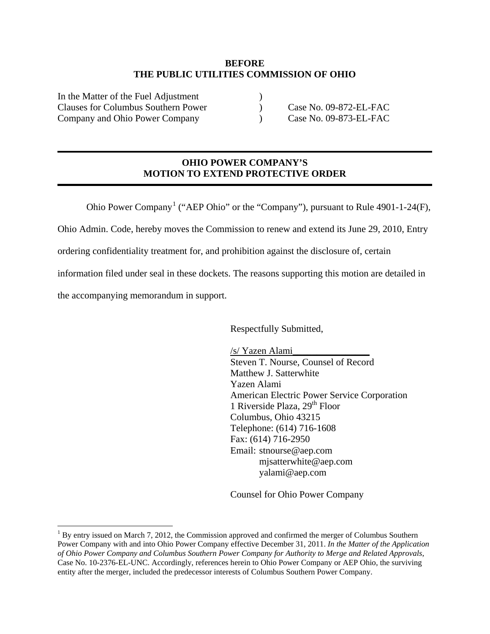#### **BEFORE THE PUBLIC UTILITIES COMMISSION OF OHIO**

In the Matter of the Fuel Adjustment Clauses for Columbus Southern Power (Separate Left Company and Ohio Power Company (Case No. 09-872-EL-FAC) Company and Ohio Power Company (1995)

## **OHIO POWER COMPANY'S MOTION TO EXTEND PROTECTIVE ORDER**

Ohio Power Company<sup>[1](#page-0-0)</sup> ("AEP Ohio" or the "Company"), pursuant to Rule 4901-1-24 $(F)$ ,

Ohio Admin. Code, hereby moves the Commission to renew and extend its June 29, 2010, Entry

ordering confidentiality treatment for, and prohibition against the disclosure of, certain

information filed under seal in these dockets. The reasons supporting this motion are detailed in

the accompanying memorandum in support.

Respectfully Submitted,

/s/ Yazen Alami\_\_\_\_\_\_\_\_\_\_\_\_\_\_\_\_ Steven T. Nourse, Counsel of Record Matthew J. Satterwhite Yazen Alami American Electric Power Service Corporation 1 Riverside Plaza, 29<sup>th</sup> Floor Columbus, Ohio 43215 Telephone: (614) 716-1608 Fax: (614) 716-2950 Email: stnourse@aep.com mjsatterwhite@aep.com yalami@aep.com

Counsel for Ohio Power Company

<span id="page-0-0"></span><sup>&</sup>lt;sup>1</sup> By entry issued on March 7, 2012, the Commission approved and confirmed the merger of Columbus Southern Power Company with and into Ohio Power Company effective December 31, 2011. *In the Matter of the Application of Ohio Power Company and Columbus Southern Power Company for Authority to Merge and Related Approvals*, Case No. 10-2376-EL-UNC. Accordingly, references herein to Ohio Power Company or AEP Ohio, the surviving entity after the merger, included the predecessor interests of Columbus Southern Power Company.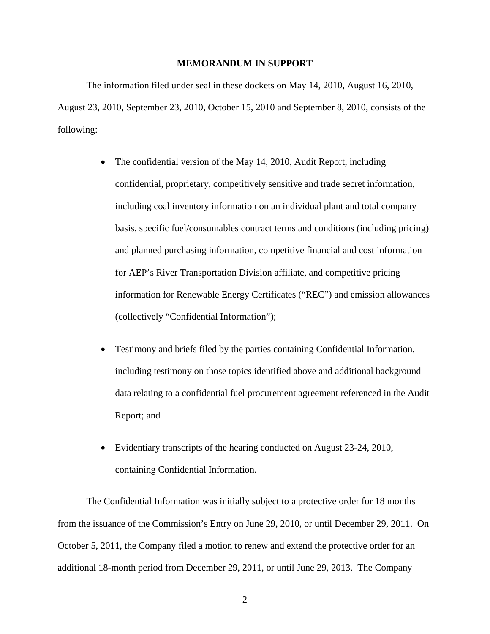#### **MEMORANDUM IN SUPPORT**

The information filed under seal in these dockets on May 14, 2010, August 16, 2010, August 23, 2010, September 23, 2010, October 15, 2010 and September 8, 2010, consists of the following:

- The confidential version of the May 14, 2010, Audit Report, including confidential, proprietary, competitively sensitive and trade secret information, including coal inventory information on an individual plant and total company basis, specific fuel/consumables contract terms and conditions (including pricing) and planned purchasing information, competitive financial and cost information for AEP's River Transportation Division affiliate, and competitive pricing information for Renewable Energy Certificates ("REC") and emission allowances (collectively "Confidential Information");
- Testimony and briefs filed by the parties containing Confidential Information, including testimony on those topics identified above and additional background data relating to a confidential fuel procurement agreement referenced in the Audit Report; and
- Evidentiary transcripts of the hearing conducted on August 23-24, 2010, containing Confidential Information.

The Confidential Information was initially subject to a protective order for 18 months from the issuance of the Commission's Entry on June 29, 2010, or until December 29, 2011. On October 5, 2011, the Company filed a motion to renew and extend the protective order for an additional 18-month period from December 29, 2011, or until June 29, 2013. The Company

2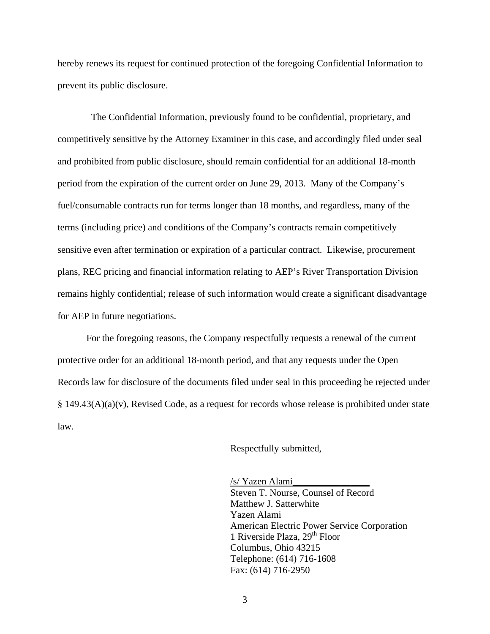hereby renews its request for continued protection of the foregoing Confidential Information to prevent its public disclosure.

 The Confidential Information, previously found to be confidential, proprietary, and competitively sensitive by the Attorney Examiner in this case, and accordingly filed under seal and prohibited from public disclosure, should remain confidential for an additional 18-month period from the expiration of the current order on June 29, 2013. Many of the Company's fuel/consumable contracts run for terms longer than 18 months, and regardless, many of the terms (including price) and conditions of the Company's contracts remain competitively sensitive even after termination or expiration of a particular contract. Likewise, procurement plans, REC pricing and financial information relating to AEP's River Transportation Division remains highly confidential; release of such information would create a significant disadvantage for AEP in future negotiations.

For the foregoing reasons, the Company respectfully requests a renewal of the current protective order for an additional 18-month period, and that any requests under the Open Records law for disclosure of the documents filed under seal in this proceeding be rejected under § 149.43(A)(a)(v), Revised Code, as a request for records whose release is prohibited under state law.

Respectfully submitted,

/s/ Yazen Alami\_\_\_\_\_\_\_\_\_\_\_\_\_\_\_\_ Steven T. Nourse, Counsel of Record Matthew J. Satterwhite Yazen Alami American Electric Power Service Corporation 1 Riverside Plaza, 29<sup>th</sup> Floor Columbus, Ohio 43215 Telephone: (614) 716-1608 Fax: (614) 716-2950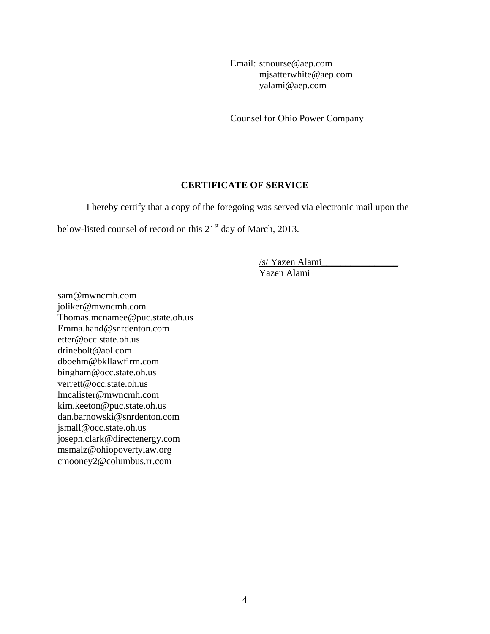Email: stnourse@aep.com mjsatterwhite@aep.com yalami@aep.com

Counsel for Ohio Power Company

### **CERTIFICATE OF SERVICE**

I hereby certify that a copy of the foregoing was served via electronic mail upon the

below-listed counsel of record on this 21<sup>st</sup> day of March, 2013.

/s/ Yazen Alami\_\_\_\_\_\_\_\_\_\_\_\_\_\_\_\_

Yazen Alami

sam@mwncmh.com joliker@mwncmh.com Thomas.mcnamee@puc.state.oh.us Emma.hand@snrdenton.com etter@occ.state.oh.us drinebolt@aol.com dboehm@bkllawfirm.com bingham@occ.state.oh.us verrett@occ.state.oh.us lmcalister@mwncmh.com kim.keeton@puc.state.oh.us dan.barnowski@snrdenton.com jsmall@occ.state.oh.us joseph.clark@directenergy.com msmalz@ohiopovertylaw.org cmooney2@columbus.rr.com